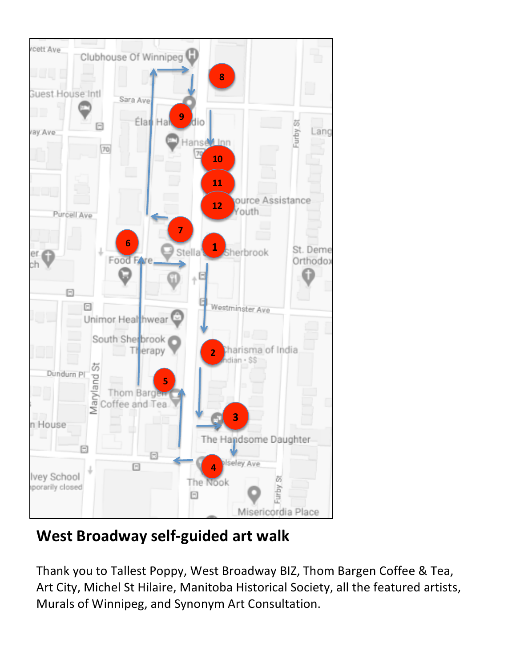

# **West Broadway self-guided art walk**

Thank you to Tallest Poppy, West Broadway BIZ, Thom Bargen Coffee & Tea, Art City, Michel St Hilaire, Manitoba Historical Society, all the featured artists, Murals of Winnipeg, and Synonym Art Consultation.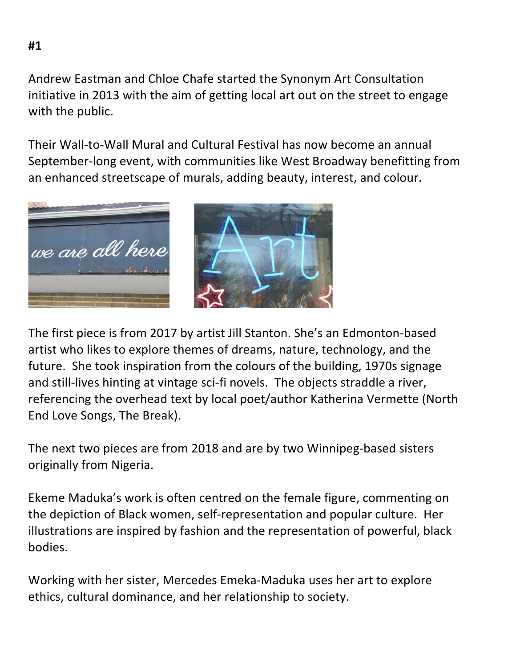Andrew Eastman and Chloe Chafe started the Synonym Art Consultation initiative in 2013 with the aim of getting local art out on the street to engage with the public.

Their Wall-to-Wall Mural and Cultural Festival has now become an annual September-long event, with communities like West Broadway benefitting from an enhanced streetscape of murals, adding beauty, interest, and colour.



The first piece is from 2017 by artist Jill Stanton. She's an Edmonton-based artist who likes to explore themes of dreams, nature, technology, and the future. She took inspiration from the colours of the building, 1970s signage and still-lives hinting at vintage sci-fi novels. The objects straddle a river, referencing the overhead text by local poet/author Katherina Vermette (North End Love Songs, The Break).

The next two pieces are from 2018 and are by two Winnipeg-based sisters originally from Nigeria.

Ekeme Maduka's work is often centred on the female figure, commenting on the depiction of Black women, self-representation and popular culture. Her illustrations are inspired by fashion and the representation of powerful, black bodies. 

Working with her sister, Mercedes Emeka-Maduka uses her art to explore ethics, cultural dominance, and her relationship to society.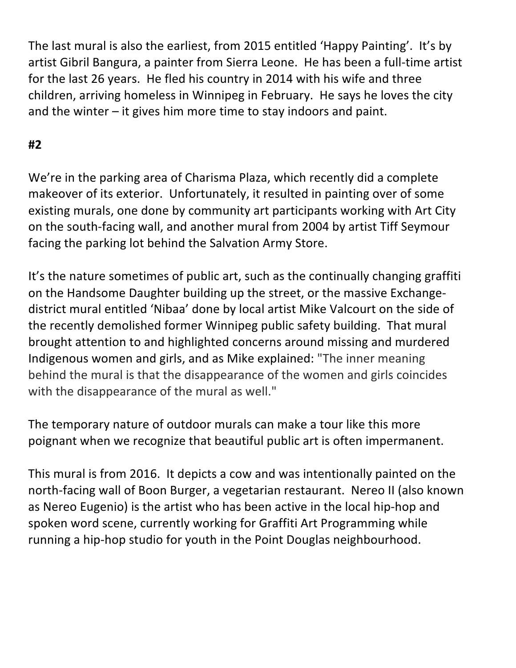The last mural is also the earliest, from 2015 entitled 'Happy Painting'. It's by artist Gibril Bangura, a painter from Sierra Leone. He has been a full-time artist for the last 26 years. He fled his country in 2014 with his wife and three children, arriving homeless in Winnipeg in February. He says he loves the city and the winter  $-$  it gives him more time to stay indoors and paint.

## **#2**

We're in the parking area of Charisma Plaza, which recently did a complete makeover of its exterior. Unfortunately, it resulted in painting over of some existing murals, one done by community art participants working with Art City on the south-facing wall, and another mural from 2004 by artist Tiff Seymour facing the parking lot behind the Salvation Army Store.

It's the nature sometimes of public art, such as the continually changing graffiti on the Handsome Daughter building up the street, or the massive Exchangedistrict mural entitled 'Nibaa' done by local artist Mike Valcourt on the side of the recently demolished former Winnipeg public safety building. That mural brought attention to and highlighted concerns around missing and murdered Indigenous women and girls, and as Mike explained: "The inner meaning behind the mural is that the disappearance of the women and girls coincides with the disappearance of the mural as well."

The temporary nature of outdoor murals can make a tour like this more poignant when we recognize that beautiful public art is often impermanent.

This mural is from 2016. It depicts a cow and was intentionally painted on the north-facing wall of Boon Burger, a vegetarian restaurant. Nereo II (also known as Nereo Eugenio) is the artist who has been active in the local hip-hop and spoken word scene, currently working for Graffiti Art Programming while running a hip-hop studio for youth in the Point Douglas neighbourhood.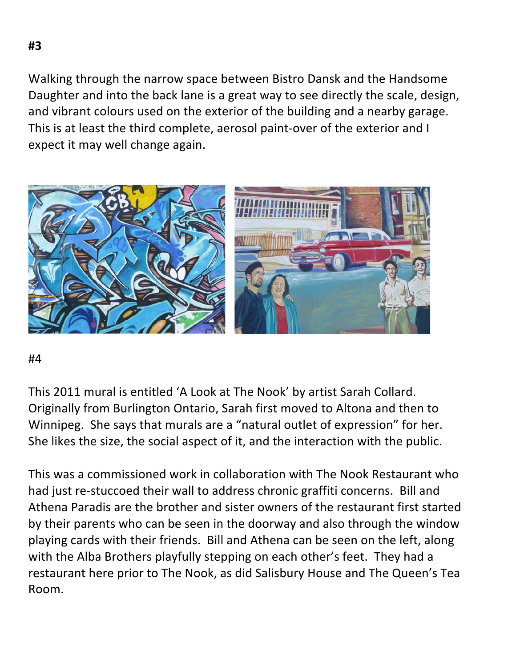Walking through the narrow space between Bistro Dansk and the Handsome Daughter and into the back lane is a great way to see directly the scale, design, and vibrant colours used on the exterior of the building and a nearby garage. This is at least the third complete, aerosol paint-over of the exterior and I expect it may well change again.



#### #4

This 2011 mural is entitled 'A Look at The Nook' by artist Sarah Collard. Originally from Burlington Ontario, Sarah first moved to Altona and then to Winnipeg. She says that murals are a "natural outlet of expression" for her. She likes the size, the social aspect of it, and the interaction with the public.

This was a commissioned work in collaboration with The Nook Restaurant who had just re-stuccoed their wall to address chronic graffiti concerns. Bill and Athena Paradis are the brother and sister owners of the restaurant first started by their parents who can be seen in the doorway and also through the window playing cards with their friends. Bill and Athena can be seen on the left, along with the Alba Brothers playfully stepping on each other's feet. They had a restaurant here prior to The Nook, as did Salisbury House and The Queen's Tea Room.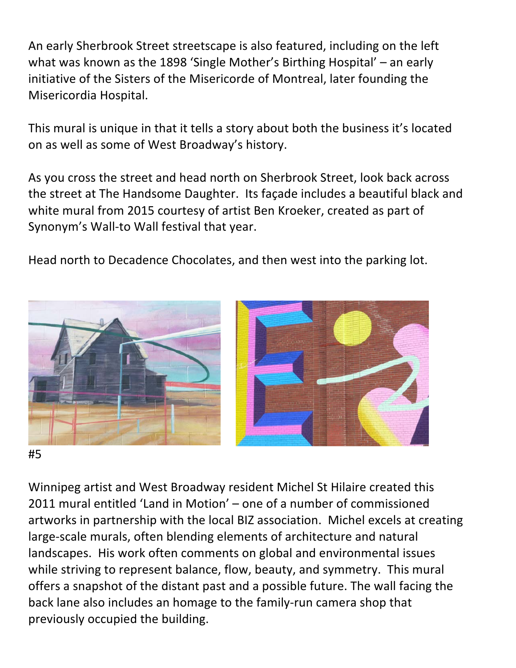An early Sherbrook Street streetscape is also featured, including on the left what was known as the 1898 'Single Mother's Birthing Hospital'  $-$  an early initiative of the Sisters of the Misericorde of Montreal, later founding the Misericordia Hospital.

This mural is unique in that it tells a story about both the business it's located on as well as some of West Broadway's history.

As you cross the street and head north on Sherbrook Street, look back across the street at The Handsome Daughter. Its façade includes a beautiful black and white mural from 2015 courtesy of artist Ben Kroeker, created as part of Synonym's Wall-to Wall festival that year.

Head north to Decadence Chocolates, and then west into the parking lot.



Winnipeg artist and West Broadway resident Michel St Hilaire created this 2011 mural entitled 'Land in Motion' – one of a number of commissioned artworks in partnership with the local BIZ association. Michel excels at creating large-scale murals, often blending elements of architecture and natural landscapes. His work often comments on global and environmental issues while striving to represent balance, flow, beauty, and symmetry. This mural offers a snapshot of the distant past and a possible future. The wall facing the back lane also includes an homage to the family-run camera shop that previously occupied the building.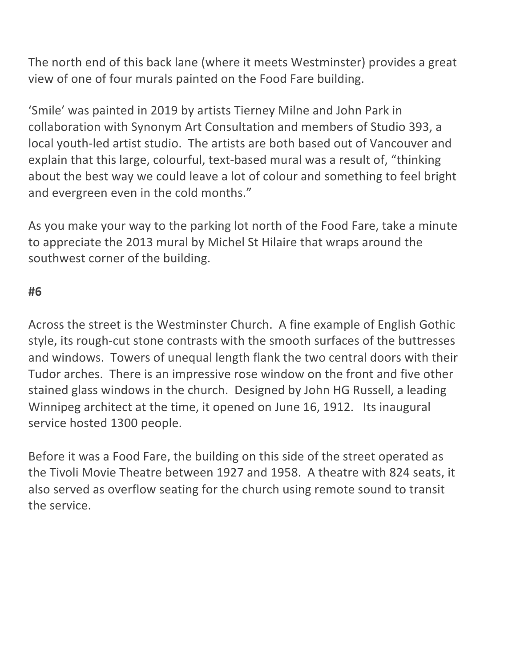The north end of this back lane (where it meets Westminster) provides a great view of one of four murals painted on the Food Fare building.

'Smile' was painted in 2019 by artists Tierney Milne and John Park in collaboration with Synonym Art Consultation and members of Studio 393, a local youth-led artist studio. The artists are both based out of Vancouver and explain that this large, colourful, text-based mural was a result of, "thinking about the best way we could leave a lot of colour and something to feel bright and evergreen even in the cold months."

As you make your way to the parking lot north of the Food Fare, take a minute to appreciate the 2013 mural by Michel St Hilaire that wraps around the southwest corner of the building.

## **#6**

Across the street is the Westminster Church. A fine example of English Gothic style, its rough-cut stone contrasts with the smooth surfaces of the buttresses and windows. Towers of unequal length flank the two central doors with their Tudor arches. There is an impressive rose window on the front and five other stained glass windows in the church. Designed by John HG Russell, a leading Winnipeg architect at the time, it opened on June 16, 1912. Its inaugural service hosted 1300 people.

Before it was a Food Fare, the building on this side of the street operated as the Tivoli Movie Theatre between 1927 and 1958. A theatre with 824 seats, it also served as overflow seating for the church using remote sound to transit the service.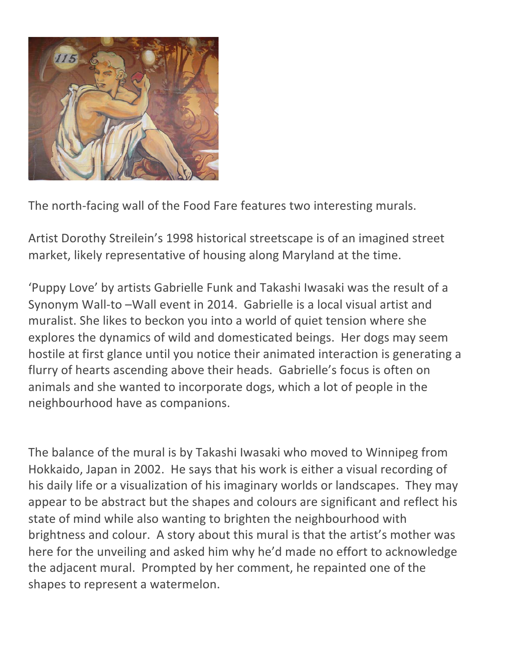

The north-facing wall of the Food Fare features two interesting murals.

Artist Dorothy Streilein's 1998 historical streetscape is of an imagined street market, likely representative of housing along Maryland at the time.

'Puppy Love' by artists Gabrielle Funk and Takashi Iwasaki was the result of a Synonym Wall-to -Wall event in 2014. Gabrielle is a local visual artist and muralist. She likes to beckon you into a world of quiet tension where she explores the dynamics of wild and domesticated beings. Her dogs may seem hostile at first glance until you notice their animated interaction is generating a flurry of hearts ascending above their heads. Gabrielle's focus is often on animals and she wanted to incorporate dogs, which a lot of people in the neighbourhood have as companions.

The balance of the mural is by Takashi Iwasaki who moved to Winnipeg from Hokkaido, Japan in 2002. He says that his work is either a visual recording of his daily life or a visualization of his imaginary worlds or landscapes. They may appear to be abstract but the shapes and colours are significant and reflect his state of mind while also wanting to brighten the neighbourhood with brightness and colour. A story about this mural is that the artist's mother was here for the unveiling and asked him why he'd made no effort to acknowledge the adjacent mural. Prompted by her comment, he repainted one of the shapes to represent a watermelon.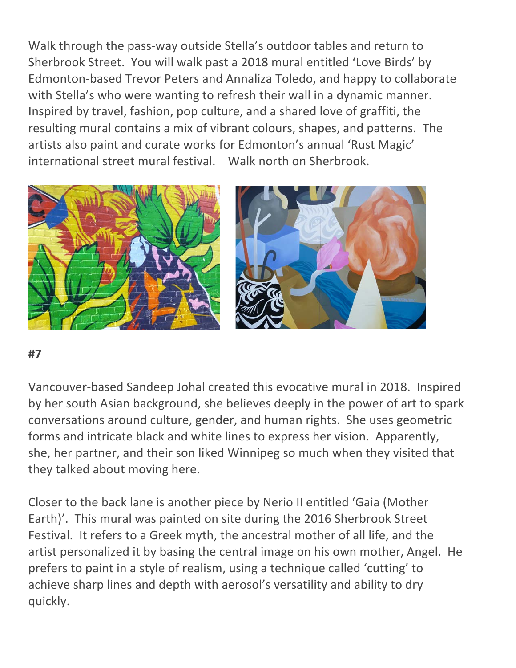Walk through the pass-way outside Stella's outdoor tables and return to Sherbrook Street. You will walk past a 2018 mural entitled 'Love Birds' by Edmonton-based Trevor Peters and Annaliza Toledo, and happy to collaborate with Stella's who were wanting to refresh their wall in a dynamic manner. Inspired by travel, fashion, pop culture, and a shared love of graffiti, the resulting mural contains a mix of vibrant colours, shapes, and patterns. The artists also paint and curate works for Edmonton's annual 'Rust Magic' international street mural festival. Walk north on Sherbrook.



#### **#7**

Vancouver-based Sandeep Johal created this evocative mural in 2018. Inspired by her south Asian background, she believes deeply in the power of art to spark conversations around culture, gender, and human rights. She uses geometric forms and intricate black and white lines to express her vision. Apparently, she, her partner, and their son liked Winnipeg so much when they visited that they talked about moving here.

Closer to the back lane is another piece by Nerio II entitled 'Gaia (Mother Earth)'. This mural was painted on site during the 2016 Sherbrook Street Festival. It refers to a Greek myth, the ancestral mother of all life, and the artist personalized it by basing the central image on his own mother, Angel. He prefers to paint in a style of realism, using a technique called 'cutting' to achieve sharp lines and depth with aerosol's versatility and ability to dry quickly.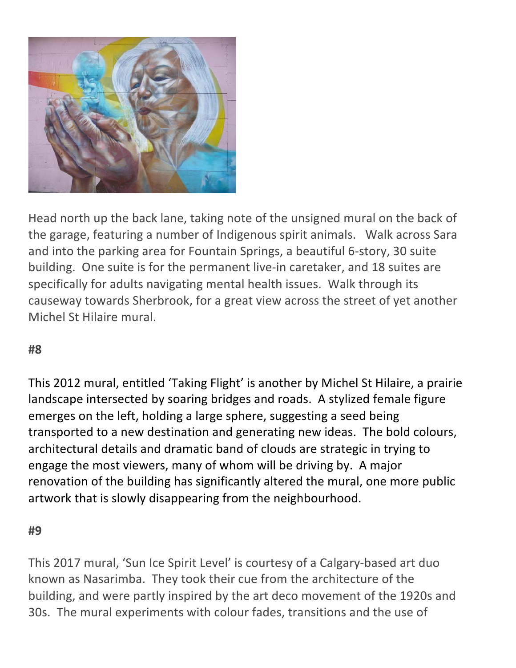

Head north up the back lane, taking note of the unsigned mural on the back of the garage, featuring a number of Indigenous spirit animals. Walk across Sara and into the parking area for Fountain Springs, a beautiful 6-story, 30 suite building. One suite is for the permanent live-in caretaker, and 18 suites are specifically for adults navigating mental health issues. Walk through its causeway towards Sherbrook, for a great view across the street of yet another Michel St Hilaire mural.

## **#8**

This 2012 mural, entitled 'Taking Flight' is another by Michel St Hilaire, a prairie landscape intersected by soaring bridges and roads. A stylized female figure emerges on the left, holding a large sphere, suggesting a seed being transported to a new destination and generating new ideas. The bold colours, architectural details and dramatic band of clouds are strategic in trying to engage the most viewers, many of whom will be driving by. A major renovation of the building has significantly altered the mural, one more public artwork that is slowly disappearing from the neighbourhood.

#### **#9**

This 2017 mural, 'Sun Ice Spirit Level' is courtesy of a Calgary-based art duo known as Nasarimba. They took their cue from the architecture of the building, and were partly inspired by the art deco movement of the 1920s and 30s. The mural experiments with colour fades, transitions and the use of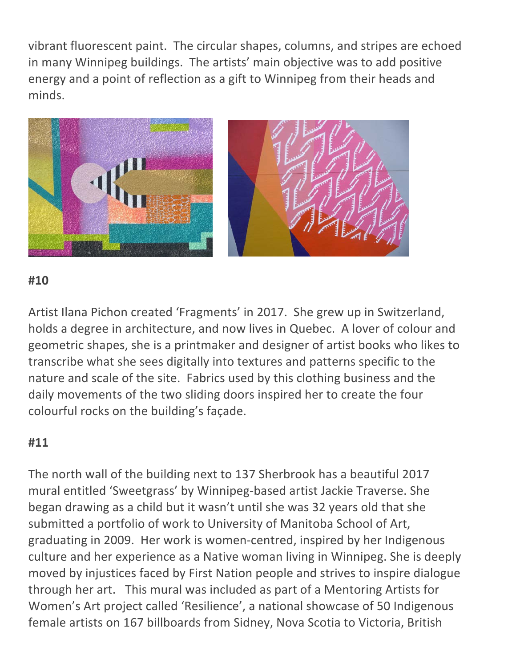vibrant fluorescent paint. The circular shapes, columns, and stripes are echoed in many Winnipeg buildings. The artists' main objective was to add positive energy and a point of reflection as a gift to Winnipeg from their heads and minds. 



## **#10**

Artist Ilana Pichon created 'Fragments' in 2017. She grew up in Switzerland, holds a degree in architecture, and now lives in Quebec. A lover of colour and geometric shapes, she is a printmaker and designer of artist books who likes to transcribe what she sees digitally into textures and patterns specific to the nature and scale of the site. Fabrics used by this clothing business and the daily movements of the two sliding doors inspired her to create the four colourful rocks on the building's façade.

## **#11**

The north wall of the building next to 137 Sherbrook has a beautiful 2017 mural entitled 'Sweetgrass' by Winnipeg-based artist Jackie Traverse. She began drawing as a child but it wasn't until she was 32 years old that she submitted a portfolio of work to University of Manitoba School of Art, graduating in 2009. Her work is women-centred, inspired by her Indigenous culture and her experience as a Native woman living in Winnipeg. She is deeply moved by injustices faced by First Nation people and strives to inspire dialogue through her art. This mural was included as part of a Mentoring Artists for Women's Art project called 'Resilience', a national showcase of 50 Indigenous female artists on 167 billboards from Sidney, Nova Scotia to Victoria, British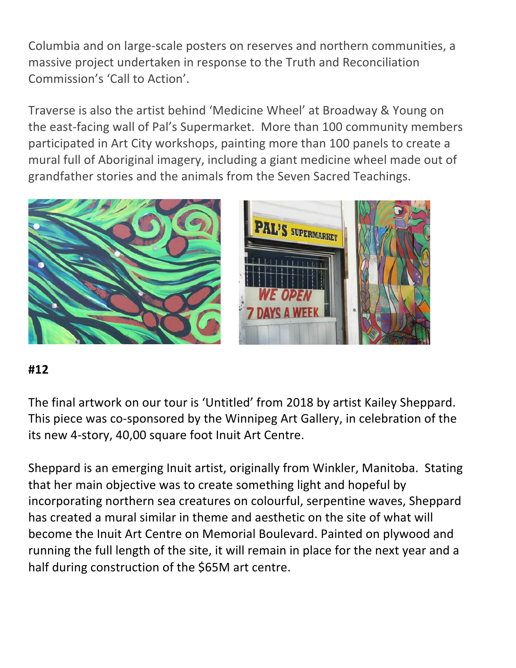Columbia and on large-scale posters on reserves and northern communities, a massive project undertaken in response to the Truth and Reconciliation Commission's 'Call to Action'.

Traverse is also the artist behind 'Medicine Wheel' at Broadway & Young on the east-facing wall of Pal's Supermarket. More than 100 community members participated in Art City workshops, painting more than 100 panels to create a mural full of Aboriginal imagery, including a giant medicine wheel made out of grandfather stories and the animals from the Seven Sacred Teachings.



## **#12**

The final artwork on our tour is 'Untitled' from 2018 by artist Kailey Sheppard. This piece was co-sponsored by the Winnipeg Art Gallery, in celebration of the its new 4-story, 40,00 square foot Inuit Art Centre.

Sheppard is an emerging Inuit artist, originally from Winkler, Manitoba. Stating that her main objective was to create something light and hopeful by incorporating northern sea creatures on colourful, serpentine waves, Sheppard has created a mural similar in theme and aesthetic on the site of what will become the Inuit Art Centre on Memorial Boulevard. Painted on plywood and running the full length of the site, it will remain in place for the next year and a half during construction of the \$65M art centre.